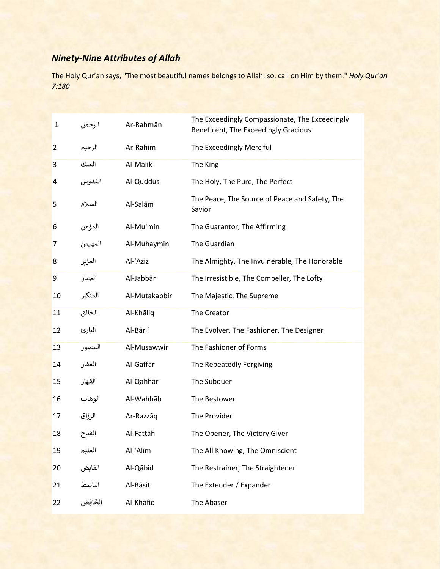## *Ninety-Nine Attributes of Allah*

The Holy Qur'an says, "The most beautiful names belongs to Allah: so, call on Him by them." *Holy Qur'an 7:180*

| 1  | الرحمن   | Ar-Rahmān     | The Exceedingly Compassionate, The Exceedingly<br>Beneficent, The Exceedingly Gracious |
|----|----------|---------------|----------------------------------------------------------------------------------------|
| 2  | الرحيم   | Ar-Rahīm      | The Exceedingly Merciful                                                               |
| 3  | الملك    | Al-Malik      | The King                                                                               |
| 4  | القدوس   | Al-Quddūs     | The Holy, The Pure, The Perfect                                                        |
| 5  | السلام   | Al-Salām      | The Peace, The Source of Peace and Safety, The<br>Savior                               |
| 6  | المؤمن   | Al-Mu'min     | The Guarantor, The Affirming                                                           |
| 7  | المهيمن  | Al-Muhaymin   | The Guardian                                                                           |
| 8  | العزيز   | Al-'Aziz      | The Almighty, The Invulnerable, The Honorable                                          |
| 9  | الجبار   | Al-Jabbār     | The Irresistible, The Compeller, The Lofty                                             |
| 10 | المتكبر  | Al-Mutakabbir | The Majestic, The Supreme                                                              |
| 11 | الخالق   | Al-Khāliq     | The Creator                                                                            |
| 12 | البارئ   | Al-Bāri'      | The Evolver, The Fashioner, The Designer                                               |
| 13 | المصور   | Al-Musawwir   | The Fashioner of Forms                                                                 |
| 14 | الغفار   | Al-Gaffār     | The Repeatedly Forgiving                                                               |
| 15 | القهار   | Al-Qahhār     | The Subduer                                                                            |
| 16 | الوهاب   | Al-Wahhāb     | The Bestower                                                                           |
| 17 | الرزاق   | Ar-Razzāq     | The Provider                                                                           |
| 18 | الفتاح   | Al-Fattāh     | The Opener, The Victory Giver                                                          |
| 19 | العليم   | Al-'Alīm      | The All Knowing, The Omniscient                                                        |
| 20 | القابض   | Al-Qābid      | The Restrainer, The Straightener                                                       |
| 21 | الباسط   | Al-Bāsit      | The Extender / Expander                                                                |
| 22 | الخَافِض | Al-Khāfid     | The Abaser                                                                             |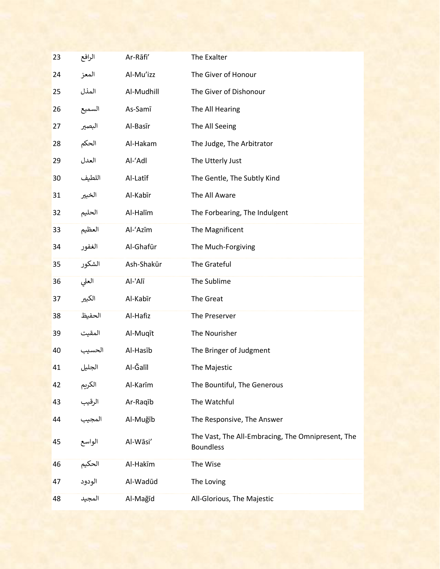| 23 | الرافع | Ar-Rāfi'   | The Exalter                                                           |
|----|--------|------------|-----------------------------------------------------------------------|
| 24 | المعز  | Al-Mu'izz  | The Giver of Honour                                                   |
| 25 | المذل  | Al-Mudhill | The Giver of Dishonour                                                |
| 26 | السميع | As-Samī    | The All Hearing                                                       |
| 27 | البصير | Al-Basīr   | The All Seeing                                                        |
| 28 | الحكم  | Al-Hakam   | The Judge, The Arbitrator                                             |
| 29 | العدل  | Al-'Adl    | The Utterly Just                                                      |
| 30 | اللطيف | Al-Latīf   | The Gentle, The Subtly Kind                                           |
| 31 | الخبير | Al-Kabīr   | The All Aware                                                         |
| 32 | الحليم | Al-Halīm   | The Forbearing, The Indulgent                                         |
| 33 | العظيم | Al-'Azīm   | The Magnificent                                                       |
| 34 | الغفور | Al-Ghafūr  | The Much-Forgiving                                                    |
| 35 | الشكور | Ash-Shakūr | The Grateful                                                          |
| 36 | العلى  | Al-'Alī    | The Sublime                                                           |
| 37 | الكبير | Al-Kabīr   | The Great                                                             |
| 38 | الحفيظ | Al-Hafiz   | The Preserver                                                         |
| 39 | المقيت | Al-Muqīt   | The Nourisher                                                         |
| 40 | الحسيب | Al-Hasīb   | The Bringer of Judgment                                               |
| 41 | الجليل | Al-Ğalīl   | The Majestic                                                          |
| 42 | الكريم | Al-Karīm   | The Bountiful, The Generous                                           |
| 43 | الرقيب | Ar-Raqīb   | The Watchful                                                          |
| 44 | المجيب | Al-Muğīb   | The Responsive, The Answer                                            |
| 45 | الواسع | Al-Wāsi'   | The Vast, The All-Embracing, The Omnipresent, The<br><b>Boundless</b> |
| 46 | الحكيم | Al-Hakīm   | The Wise                                                              |
| 47 | الودود | Al-Wadūd   | The Loving                                                            |
| 48 | المجيد | Al-Mağīd   | All-Glorious, The Majestic                                            |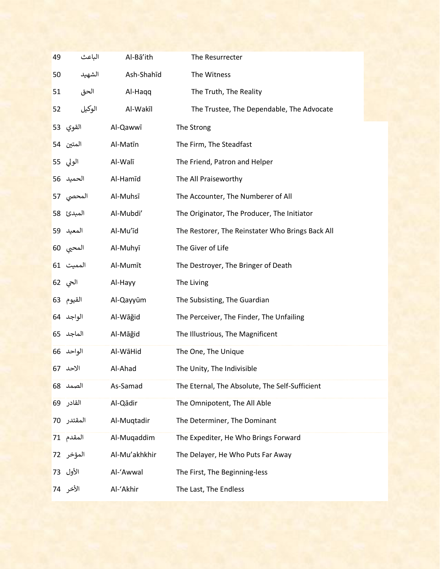| 49 | الباعث     | Al-Bā'ith     | The Resurrecter                                  |
|----|------------|---------------|--------------------------------------------------|
| 50 | الشهيد     | Ash-Shahīd    | The Witness                                      |
| 51 | الحق       | Al-Haqq       | The Truth, The Reality                           |
| 52 | الوكيل     | Al-Wakīl      | The Trustee, The Dependable, The Advocate        |
|    | القوي 53   | Al-Qawwī      | The Strong                                       |
|    | المتين 54  | Al-Matīn      | The Firm, The Steadfast                          |
|    | الولي 55   | Al-Walī       | The Friend, Patron and Helper                    |
|    | الحميد 56  | Al-Hamīd      | The All Praiseworthy                             |
|    | المحصى 57  | Al-Muhsī      | The Accounter, The Numberer of All               |
|    | المبدئ 58  | Al-Mubdi'     | The Originator, The Producer, The Initiator      |
|    | المعيد 59  | Al-Mu'īd      | The Restorer, The Reinstater Who Brings Back All |
|    | المحيي 60  | Al-Muhyī      | The Giver of Life                                |
|    | المميت 61  | Al-Mumīt      | The Destroyer, The Bringer of Death              |
|    | الحي 62    | Al-Hayy       | The Living                                       |
|    | القيوم 63  | Al-Qayyūm     | The Subsisting, The Guardian                     |
|    | الواجد 64  | Al-Wāğid      | The Perceiver, The Finder, The Unfailing         |
|    | الماجد 65  | Al-Māğid      | The Illustrious, The Magnificent                 |
|    | الواحد 66  | Al-WāHid      | The One, The Unique                              |
|    | الاحد 67   | Al-Ahad       | The Unity, The Indivisible                       |
|    | الصمد 68   | As-Samad      | The Eternal, The Absolute, The Self-Sufficient   |
|    | القادر 69  | Al-Qādir      | The Omnipotent, The All Able                     |
|    | المقتدر 70 | Al-Muqtadir   | The Determiner, The Dominant                     |
|    | المقدم 71  | Al-Muqaddim   | The Expediter, He Who Brings Forward             |
|    | المؤخر 72  | Al-Mu'akhkhir | The Delayer, He Who Puts Far Away                |
|    | الأول 73   | Al-'Awwal     | The First, The Beginning-less                    |
|    | الأخر 74   | Al-'Akhir     | The Last, The Endless                            |